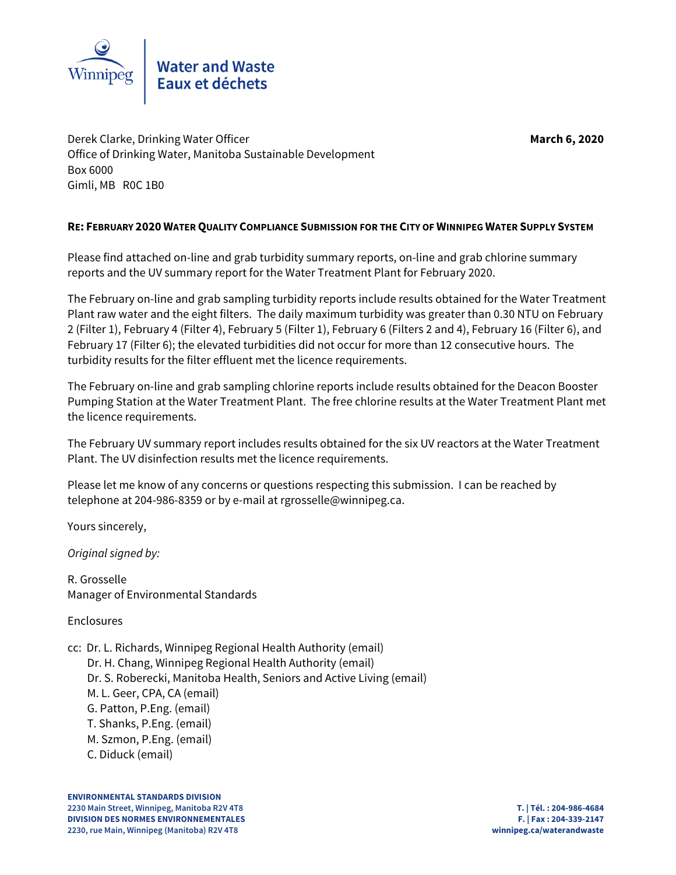

Derek Clarke, Drinking Water Officer **March 6, 2020** Office of Drinking Water, Manitoba Sustainable Development Box 6000 Gimli, MB R0C 1B0

# **RE: FEBRUARY 2020 WATER QUALITY COMPLIANCE SUBMISSION FOR THE CITY OF WINNIPEG WATER SUPPLY SYSTEM**

Please find attached on-line and grab turbidity summary reports, on-line and grab chlorine summary reports and the UV summary report for the Water Treatment Plant for February 2020.

The February on-line and grab sampling turbidity reports include results obtained for the Water Treatment Plant raw water and the eight filters. The daily maximum turbidity was greater than 0.30 NTU on February 2 (Filter 1), February 4 (Filter 4), February 5 (Filter 1), February 6 (Filters 2 and 4), February 16 (Filter 6), and February 17 (Filter 6); the elevated turbidities did not occur for more than 12 consecutive hours. The turbidity results for the filter effluent met the licence requirements.

The February on-line and grab sampling chlorine reports include results obtained for the Deacon Booster Pumping Station at the Water Treatment Plant. The free chlorine results at the Water Treatment Plant met the licence requirements.

The February UV summary report includes results obtained for the six UV reactors at the Water Treatment Plant. The UV disinfection results met the licence requirements.

Please let me know of any concerns or questions respecting this submission. I can be reached by telephone at 204-986-8359 or by e-mail at rgrosselle@winnipeg.ca.

Yours sincerely,

Original signed by:

R. Grosselle Manager of Environmental Standards

Enclosures

cc: Dr. L. Richards, Winnipeg Regional Health Authority (email)

 Dr. H. Chang, Winnipeg Regional Health Authority (email) Dr. S. Roberecki, Manitoba Health, Seniors and Active Living (email) M. L. Geer, CPA, CA (email) G. Patton, P.Eng. (email) T. Shanks, P.Eng. (email) M. Szmon, P.Eng. (email)

C. Diduck (email)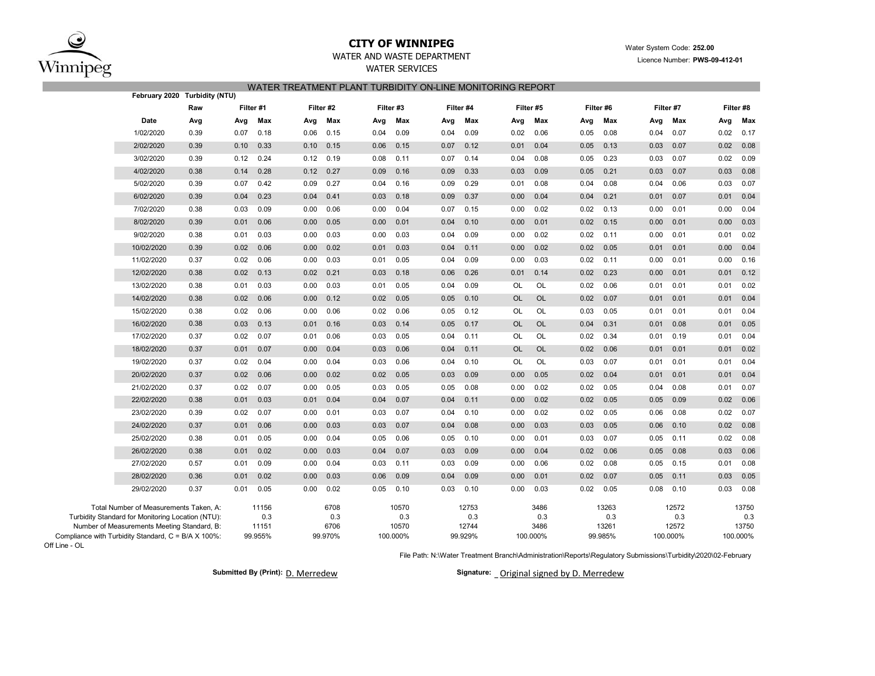

## **CITY OF WINNIPEG**WATER AND WASTE DEPARTMENT

## WATER SERVICES WATER TREATMENT PLANT TURBIDITY ON-LINE MONITORING REPORT

|                                   |      |                                   |      |                                  |      |                                 |           |                                  |      |                                   |      |                                |      |                                  |      | February 2020 Turbidity (NTU)                                                                                                                                                                     |            |
|-----------------------------------|------|-----------------------------------|------|----------------------------------|------|---------------------------------|-----------|----------------------------------|------|-----------------------------------|------|--------------------------------|------|----------------------------------|------|---------------------------------------------------------------------------------------------------------------------------------------------------------------------------------------------------|------------|
| Filter #8                         |      | Filter #7                         |      | Filter #6                        |      | Filter #5                       |           | Filter #4                        |      | Filter #3                         |      | Filter #2                      |      | Filter #1                        |      | Raw                                                                                                                                                                                               |            |
| Max                               | Avg  | Max                               | Avg  | Max                              | Avg  | Max                             | Avg       | Max                              | Avg  | Max                               | Avg  | Max                            | Avg  | Max                              | Avg  | Avg                                                                                                                                                                                               | Date       |
| 0.17                              | 0.02 | 0.07                              | 0.04 | 0.08                             | 0.05 | 0.06                            | 0.02      | 0.09                             | 0.04 | 0.09                              | 0.04 | 0.15                           | 0.06 | 0.18                             | 0.07 | 0.39                                                                                                                                                                                              | 1/02/2020  |
| 0.08                              | 0.02 | 0.07                              | 0.03 | 0.13                             | 0.05 | 0.04                            | 0.01      | 0.12                             | 0.07 | 0.15                              | 0.06 | 0.15                           | 0.10 | 0.33                             | 0.10 | 0.39                                                                                                                                                                                              | 2/02/2020  |
| 0.09                              | 0.02 | 0.07                              | 0.03 | 0.23                             | 0.05 | 0.08                            | 0.04      | 0.14                             | 0.07 | 0.11                              | 0.08 | 0.19                           | 0.12 | 0.24                             | 0.12 | 0.39                                                                                                                                                                                              | 3/02/2020  |
| 0.08                              | 0.03 | 0.07                              | 0.03 | 0.21                             | 0.05 | 0.09                            | 0.03      | 0.33                             | 0.09 | 0.16                              | 0.09 | 0.27                           | 0.12 | 0.28                             | 0.14 | 0.38                                                                                                                                                                                              | 4/02/2020  |
| 0.07                              | 0.03 | 0.06                              | 0.04 | 0.08                             | 0.04 | 0.08                            | 0.01      | 0.29                             | 0.09 | 0.16                              | 0.04 | 0.27                           | 0.09 | 0.42                             | 0.07 | 0.39                                                                                                                                                                                              | 5/02/2020  |
| 0.04                              | 0.01 | 0.07                              | 0.01 | 0.21                             | 0.04 | 0.04                            | 0.00      | 0.37                             | 0.09 | 0.18                              | 0.03 | 0.41                           | 0.04 | 0.23                             | 0.04 | 0.39                                                                                                                                                                                              | 6/02/2020  |
| 0.04                              | 0.00 | 0.01                              | 0.00 | 0.13                             | 0.02 | 0.02                            | 0.00      | 0.15                             | 0.07 | 0.04                              | 0.00 | 0.06                           | 0.00 | 0.09                             | 0.03 | 0.38                                                                                                                                                                                              | 7/02/2020  |
| 0.03                              | 0.00 | 0.01                              | 0.00 | 0.15                             | 0.02 | 0.01                            | 0.00      | 0.10                             | 0.04 | 0.01                              | 0.00 | 0.05                           | 0.00 | 0.06                             | 0.01 | 0.39                                                                                                                                                                                              | 8/02/2020  |
| 0.02                              | 0.01 | 0.01                              | 0.00 | 0.11                             | 0.02 | 0.02                            | 0.00      | 0.09                             | 0.04 | 0.03                              | 0.00 | 0.03                           | 0.00 | 0.03                             | 0.01 | 0.38                                                                                                                                                                                              | 9/02/2020  |
| 0.04                              | 0.00 | 0.01                              | 0.01 | 0.05                             | 0.02 | 0.02                            | 0.00      | 0.11                             | 0.04 | 0.03                              | 0.01 | 0.02                           | 0.00 | 0.06                             | 0.02 | 0.39                                                                                                                                                                                              | 10/02/2020 |
| 0.16                              | 0.00 | 0.01                              | 0.00 | 0.11                             | 0.02 | 0.03                            | 0.00      | 0.09                             | 0.04 | 0.05                              | 0.01 | 0.03                           | 0.00 | 0.06                             | 0.02 | 0.37                                                                                                                                                                                              | 11/02/2020 |
| 0.12                              | 0.01 | 0.01                              | 0.00 | 0.23                             | 0.02 | 0.14                            | 0.01      | 0.26                             | 0.06 | 0.18                              | 0.03 | 0.21                           | 0.02 | 0.13                             | 0.02 | 0.38                                                                                                                                                                                              | 12/02/2020 |
| 0.02                              | 0.01 | 0.01                              | 0.01 | 0.06                             | 0.02 | OL                              | OL        | 0.09                             | 0.04 | 0.05                              | 0.01 | 0.03                           | 0.00 | 0.03                             | 0.01 | 0.38                                                                                                                                                                                              | 13/02/2020 |
| 0.04                              | 0.01 | 0.01                              | 0.01 | 0.07                             | 0.02 | OL                              | <b>OL</b> | 0.10                             | 0.05 | 0.05                              | 0.02 | 0.12                           | 0.00 | 0.06                             | 0.02 | 0.38                                                                                                                                                                                              | 14/02/2020 |
| 0.04                              | 0.01 | 0.01                              | 0.01 | 0.05                             | 0.03 | OL                              | <b>OL</b> | 0.12                             | 0.05 | 0.06                              | 0.02 | 0.06                           | 0.00 | 0.06                             | 0.02 | 0.38                                                                                                                                                                                              | 15/02/2020 |
| 0.05                              | 0.01 | 0.08                              | 0.01 | 0.31                             | 0.04 | <b>OL</b>                       | <b>OL</b> | 0.17                             | 0.05 | 0.14                              | 0.03 | 0.16                           | 0.01 | 0.13                             | 0.03 | 0.38                                                                                                                                                                                              | 16/02/2020 |
| 0.04                              | 0.01 | 0.19                              | 0.01 | 0.34                             | 0.02 | OL                              | OL        | 0.11                             | 0.04 | 0.05                              | 0.03 | 0.06                           | 0.01 | 0.07                             | 0.02 | 0.37                                                                                                                                                                                              | 17/02/2020 |
| 0.02                              | 0.01 | 0.01                              | 0.01 | 0.06                             | 0.02 | <b>OL</b>                       | <b>OL</b> | 0.11                             | 0.04 | 0.06                              | 0.03 | 0.04                           | 0.00 | 0.07                             | 0.01 | 0.37                                                                                                                                                                                              | 18/02/2020 |
| 0.04                              | 0.01 | 0.01                              | 0.01 | 0.07                             | 0.03 | OL                              | OL        | 0.10                             | 0.04 | 0.06                              | 0.03 | 0.04                           | 0.00 | 0.04                             | 0.02 | 0.37                                                                                                                                                                                              | 19/02/2020 |
| 0.04                              | 0.01 | 0.01                              | 0.01 | 0.04                             | 0.02 | 0.05                            | 0.00      | 0.09                             | 0.03 | 0.05                              | 0.02 | 0.02                           | 0.00 | 0.06                             | 0.02 | 0.37                                                                                                                                                                                              | 20/02/2020 |
| 0.07                              | 0.01 | 0.08                              | 0.04 | 0.05                             | 0.02 | 0.02                            | 0.00      | 0.08                             | 0.05 | 0.05                              | 0.03 | 0.05                           | 0.00 | 0.07                             | 0.02 | 0.37                                                                                                                                                                                              | 21/02/2020 |
| 0.06                              | 0.02 | 0.09                              | 0.05 | 0.05                             | 0.02 | 0.02                            | 0.00      | 0.11                             | 0.04 | 0.07                              | 0.04 | 0.04                           | 0.01 | 0.03                             | 0.01 | 0.38                                                                                                                                                                                              | 22/02/2020 |
| 0.07                              | 0.02 | 0.08                              | 0.06 | 0.05                             | 0.02 | 0.02                            | 0.00      | 0.10                             | 0.04 | 0.07                              | 0.03 | 0.01                           | 0.00 | 0.07                             | 0.02 | 0.39                                                                                                                                                                                              | 23/02/2020 |
| 0.08                              | 0.02 | 0.10                              | 0.06 | 0.05                             | 0.03 | 0.03                            | 0.00      | 0.08                             | 0.04 | 0.07                              | 0.03 | 0.03                           | 0.00 | 0.06                             | 0.01 | 0.37                                                                                                                                                                                              | 24/02/2020 |
| 0.08                              | 0.02 | 0.11                              | 0.05 | 0.07                             | 0.03 | 0.01                            | 0.00      | 0.10                             | 0.05 | 0.06                              | 0.05 | 0.04                           | 0.00 | 0.05                             | 0.01 | 0.38                                                                                                                                                                                              | 25/02/2020 |
| 0.06                              | 0.03 | 0.08                              | 0.05 | 0.06                             | 0.02 | 0.04                            | 0.00      | 0.09                             | 0.03 | 0.07                              | 0.04 | 0.03                           | 0.00 | 0.02                             | 0.01 | 0.38                                                                                                                                                                                              | 26/02/2020 |
| 0.08                              | 0.01 | 0.15                              | 0.05 | 0.08                             | 0.02 | 0.06                            | 0.00      | 0.09                             | 0.03 | 0.11                              | 0.03 | 0.04                           | 0.00 | 0.09                             | 0.01 | 0.57                                                                                                                                                                                              | 27/02/2020 |
| 0.05                              | 0.03 | 0.11                              | 0.05 | 0.07                             | 0.02 | 0.01                            | 0.00      | 0.09                             | 0.04 | 0.09                              | 0.06 | 0.03                           | 0.00 | 0.02                             | 0.01 | 0.36                                                                                                                                                                                              | 28/02/2020 |
| 0.08                              | 0.03 | 0.10                              | 0.08 | 0.05                             | 0.02 | 0.03                            | 0.00      | 0.10                             | 0.03 | 0.10                              | 0.05 | 0.02                           | 0.00 | 0.05                             | 0.01 | 0.37                                                                                                                                                                                              | 29/02/2020 |
| 13750<br>0.3<br>13750<br>100.000% |      | 12572<br>0.3<br>12572<br>100.000% |      | 13263<br>0.3<br>13261<br>99.985% |      | 3486<br>0.3<br>3486<br>100.000% |           | 12753<br>0.3<br>12744<br>99.929% |      | 10570<br>0.3<br>10570<br>100.000% |      | 6708<br>0.3<br>6706<br>99.970% |      | 11156<br>0.3<br>11151<br>99.955% |      | Total Number of Measurements Taken, A:<br>Turbidity Standard for Monitoring Location (NTU):<br>Number of Measurements Meeting Standard, B:<br>Compliance with Turbidity Standard, C = B/A X 100%: |            |

Off Line - OL

File Path: N:\Water Treatment Branch\Administration\Reports\Regulatory Submissions\Turbidity\2020\02-February

**Submitted By (Print): Signature:** D. Merredew

Signature: \_ Original signed by D. Merredew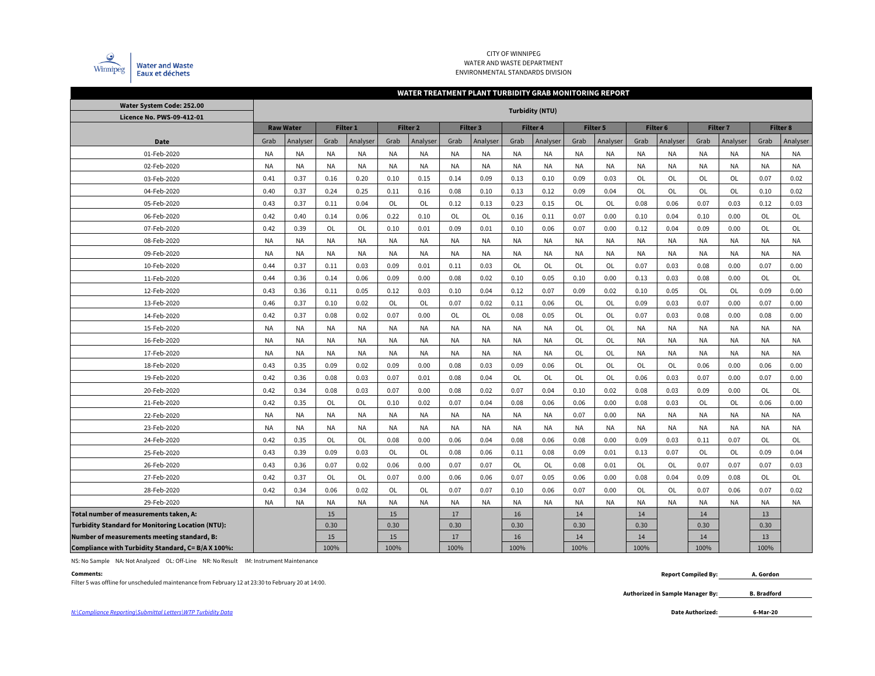

### CITY OF WINNIPEGWATER AND WASTE DEPARTMENTENVIRONMENTAL STANDARDS DIVISION

### Grab |Analyser| Grab |Analyser| Grab |Analyser| Grab |Analyser| Grab |Analyser| Grab |Grab |Analyser| Grab |Analyser| Grab |Analyser NA NA NA NA NA NA NA NA NA NA NA NA NA NA NA NA NA NANA NA NA NA NA NA NA NA NA NA NA NA NA NA NA NA NA NA0.41 0.37 0.16 0.20 0.10 0.15 0.14 0.099 | 0.13 | 0.10 | 0.09 | 0.03 | OL | OL | OL | OL | 0.07 | 0.02 0.40 | 0.37 | 0.24 | 0.25 | 0.11 | 0.16 | 0.08 | 0.10 0 | 0.13 | 0.12 | 0.09 | 0.04 | OL | OL | OL | OL | 0.10 | 0.02 0.43 | 0.37 | 0.11 | 0.04 | OL | OL | 0.12 | 0.13 | 0.23 3 0.15 OL OL 0.08 0.06 0.07 0.03 0.12 0.03 0.42 | 0.40 | 0.14 | 0.06 | 0.22 | 0.10 | OL | OL | 0.16 6 | 0.11 | 0.07 | 0.00 | 0.10 | 0.04 | 0.10 | 0.00 | OL | OL 0.42 0.39 OL OL OL 0.10 0.01 0.09 0.01 0.10 0 0.06 0.07 0.00 0.12 0.04 0.09 0.00 OL OL NA NA NA NA NA NA NA NA NA NA NA NA NA NA NA NA NA NA**NA** NA NA NA NA NA NA NA NA NA NA NA NA NA NA NA NA NA NA**NA** 0.44 0.37 0.11 0.03 0.09 0.01 0.11 0.033 | OL | OL | OL | OL | 0.07 | 0.03 | 0.08 | 0.00 | 0.07 | 0.00 0.44 | 0.36 | 0.14 | 0.06 | 0.09 | 0.00 | 0.08 | 0.02 | 0.10 | 0.05 | 0.10 | 0.00 | 0.13 | 0.03 | 0.08 | 0.00 | OL | OL  $OL$ 0.43 | 0.36 | 0.11 | 0.05 | 0.12 | 0.03 | 0.10 | 0.04 | 0.12 | 0.07 | 0.09 | 0.02 | 0.10 | 0.05 | OL | OL | 0.09 | 0.00 0.46 0.37 0.10 0.02 0L OL 0L 0.07 0.02 0.11 1 0.06 OL OL 0.09 0.03 0.07 0.00 0.07 0.00 0.42 0.37 0.08 0.02 0.07 0.00 OL OL 0L 0.08 8 0.05 OL OL 0.07 0.03 0.08 0.00 0.08 0.00 NA INA INA INA INA INA INA INA INA IOL OL IOL INA INA INA INA INA INA NA INA INA INA INA INA INA INA INA IOL OL IOL INA INA INA INA INA INA NA INA INA INA INA INA INA INA INA IOL IOL INA INA INA INA INA INA 0.43 0.35 0.09 0.02 0.09 0.00 0.08 0.03 3 | 0.09 | 0.06 | OL | OL | OL | OL | 0.06 | 0.00 | 0.06 | 0.00 0.42 0.36 0.08 0.03 0.07 0.01 0.08 0.04 4 | OL | OL | OL | OL | 0.06 | 0.03 | 0.07 | 0.00 | 0.07 | 0.00 0.42 | 0.34 | 0.08 | 0.03 | 0.07 | 0.00 | 0.08 | 0.02 | 0.07 | 0.04 | 0.10 | 0.02 | 0.08 | 0.03 | 0.09 | 0.00 | OL | OL  $_{\mathsf{OL}}$ 0.42 0.35 OL OL 0.10 0.02 0.07 0.04 0.08 8 | 0.06 | 0.06 | 0.00 | 0.08 | 0.03 | OL | OL | 0.06 | 0.00 NA NA NA NA NA NA NA NA NA NA 0.07 0.00 NA NA NA NA NA NA $\sf NA$ NA NA NA NA NA NA NA NA NA NA NA NA NA NA NA NA NA NA0.42 I 0.35 I OL I OL I 0.08 I 0.00 I 0.06 I 0.04 I 0.08 8 | 0.06 | 0.08 | 0.00 | 0.09 | 0.03 | 0.11 | 0.07 | OL | OL 0.43 0.39 0.09 0.03 OL OL 0.08 0.06 0.11 1 0.08 0.09 0.01 0.13 0.07 0L OL 0.09 0.04 0.43 0.36 0.07 0.02 0.06 0.00 0.07 0.077 | OL | OL | 0.08 | 0.01 | OL | OL | 0.07 | 0.07 | 0.07 | 0.03 0.42 0.37 OL OL OL 0.07 0.00 0.06 0.06 0.07 7 | 0.05 | 0.06 | 0.00 | 0.08 | 0.04 | 0.09 | 0.08 | OL | OL 0.42 0.34 0.06 0.02 OL OL OL 0.07 0.07 0.10 0 0.06 0.07 0.00 OL OL 0.07 0.06 0.07 0.02 NA NA NA NA NA NA NA NA NA NA NA NA NA NA NA NA NA NA**Total number of measurements taken, A:** 15 15 17 16 14 14 14 13 **Turbidity Standard for Monitoring Location (NTU):** | 0.30 | 0.30 | 0.30 | 0.30 | 0.30 | 0.30 | 0.30 | 0.30 | 0.30 **Number of measurements meeting standard, B:** <sup>15</sup> <sup>15</sup> <sup>17</sup> 16 <sup>14</sup> <sup>14</sup> <sup>14</sup> 13 **Compliance with Turbidity Standard, C= B/A X 100%:** 100% 100% 100% 100% 100% 100% 100% 100% 01-Feb-2020**WATER TREATMENT PLANT TURBIDITY GRAB MONITORING REPORT Water System Code: 252.00 Turbidity (NTU) Licence No. PWS-09-412-01DateRaw Water Filter 1 Filter 2 Filter 3 Filter 4 Filter 5 Filter 6 Filter 7 Filter 8**13-Feb-202002-Feb-202003-Feb-202004-Feb-202005-Feb-2020 06-Feb-2020 07-Feb-2020 08-Feb-202009-Feb-202010-Feb-202011-Feb-202012-Feb-202025-Feb-202014-Feb-202015-Feb-202016-Feb-2020 17-Feb-2020 18-Feb-2020 19-Feb-2020 20-Feb-2020 21-Feb-202022-Feb-2020 23-Feb-202024-Feb-202026-Feb-202027-Feb-202028-Feb-2020 29-Feb-2020

NS: No Sample NA: Not Analyzed OL: Off-Line NR: No Result IM: Instrument Maintenance

### **Comments:**

Filter 5 was offline for unscheduled maintenance from February 12 at 23:30 to February 20 at 14:00.

 **Report Compiled By: A. Gordon**

> **Authorized in Sample Manager By: B. Bradford**

**6-Mar-20**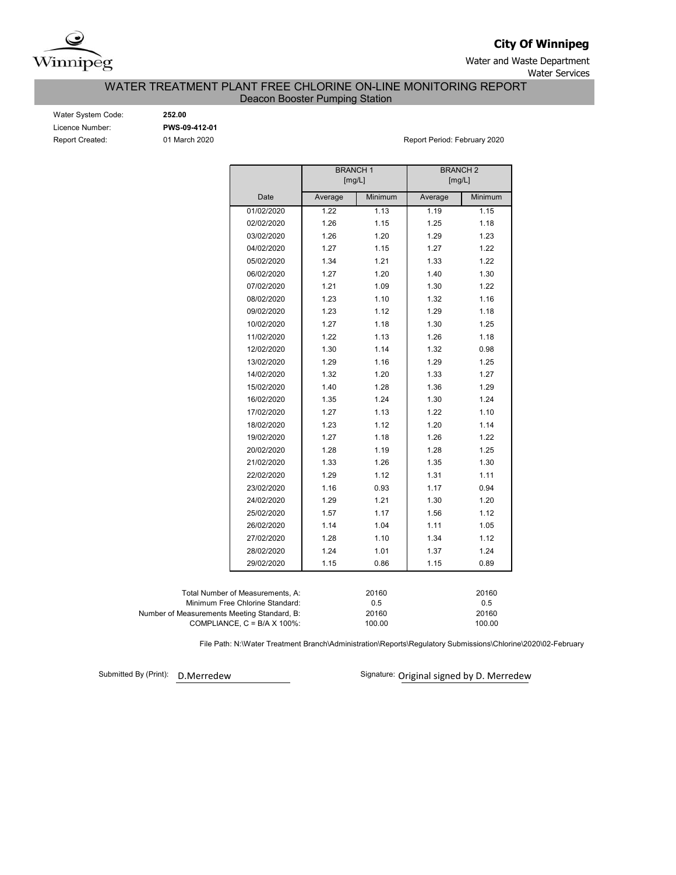

**City Of Winnipeg**

Water and Waste Department Water Services

WATER TREATMENT PLANT FREE CHLORINE ON-LINE MONITORING REPORT

Deacon Booster Pumping Station

| Water System Code:     |
|------------------------|
| Licence Number:        |
| <b>Report Created:</b> |

Water System Code: **252.00** Licence Number: **PWS-09-412-01**

01 March 2020 **Report Period: February 2020** 

|                                             |                                  | <b>BRANCH1</b><br>[mg/L] |                 | <b>BRANCH 2</b><br>[mg/L] |                 |  |  |
|---------------------------------------------|----------------------------------|--------------------------|-----------------|---------------------------|-----------------|--|--|
|                                             | Date                             | Average                  | Minimum         | Average                   | Minimum         |  |  |
|                                             | 01/02/2020                       | 1.22                     | 1.13            | 1.19                      | 1.15            |  |  |
|                                             | 02/02/2020                       | 1.26                     | 1.15            | 1.25                      | 1.18            |  |  |
|                                             | 03/02/2020                       | 1.26                     | 1.20            | 1.29                      | 1.23            |  |  |
|                                             | 04/02/2020                       | 1.27                     | 1.15            | 1.27                      | 1.22            |  |  |
|                                             | 05/02/2020                       | 1.34                     | 1.21            | 1.33                      | 1.22            |  |  |
|                                             | 06/02/2020                       | 1.27                     | 1.20            | 1.40                      | 1.30            |  |  |
|                                             | 07/02/2020                       | 1.21                     | 1.09            | 1.30                      | 1.22            |  |  |
|                                             | 08/02/2020                       | 1.23                     | 1.10            | 1.32                      | 1.16            |  |  |
|                                             | 09/02/2020                       | 1.23                     | 1.12            | 1.29                      | 1.18            |  |  |
|                                             | 10/02/2020                       | 1.27                     | 1.18            | 1.30                      | 1.25            |  |  |
|                                             | 11/02/2020                       | 1.22                     | 1.13            | 1.26                      | 1.18            |  |  |
|                                             | 12/02/2020                       | 1.30                     | 1.14            | 1.32                      | 0.98            |  |  |
|                                             | 13/02/2020                       | 1.29                     | 1.16            | 1.29                      | 1.25            |  |  |
|                                             | 14/02/2020                       | 1.32                     | 1.20            | 1.33                      | 1.27            |  |  |
|                                             | 15/02/2020                       | 1.40                     | 1.28            | 1.36                      | 1.29            |  |  |
|                                             | 16/02/2020                       | 1.35                     | 1.24            | 1.30                      | 1.24            |  |  |
|                                             | 17/02/2020                       | 1.27                     | 1.13            | 1.22                      | 1.10            |  |  |
|                                             | 18/02/2020                       | 1.23                     | 1.12            | 1.20                      | 1.14            |  |  |
|                                             | 19/02/2020                       | 1.27                     | 1.18            | 1.26                      | 1.22            |  |  |
|                                             | 20/02/2020                       | 1.28                     | 1.19            | 1.28                      | 1.25            |  |  |
|                                             | 21/02/2020                       | 1.33                     | 1.26            | 1.35                      | 1.30            |  |  |
|                                             | 22/02/2020                       | 1.29                     | 1.12            | 1.31                      | 1.11            |  |  |
|                                             | 23/02/2020                       | 1.16                     | 0.93            | 1.17                      | 0.94            |  |  |
|                                             | 24/02/2020                       | 1.29                     | 1.21            | 1.30                      | 1.20            |  |  |
|                                             | 25/02/2020                       | 1.57                     | 1.17            | 1.56                      | 1.12            |  |  |
|                                             | 26/02/2020                       | 1.14                     | 1.04            | 1.11                      | 1.05            |  |  |
|                                             | 27/02/2020                       | 1.28                     | 1.10            | 1.34                      | 1.12            |  |  |
|                                             | 28/02/2020                       | 1.24                     | 1.01            | 1.37                      | 1.24            |  |  |
|                                             | 29/02/2020                       | 1.15                     | 0.86            | 1.15                      | 0.89            |  |  |
|                                             |                                  |                          |                 |                           |                 |  |  |
|                                             | Total Number of Measurements, A: |                          | 20160           |                           | 20160           |  |  |
|                                             | Minimum Free Chlorine Standard:  |                          | 0.5             |                           | 0.5             |  |  |
| Number of Measurements Meeting Standard, B: | COMPLIANCE, C = B/A X 100%:      |                          | 20160<br>100.00 |                           | 20160<br>100.00 |  |  |

File Path: N:\Water Treatment Branch\Administration\Reports\Regulatory Submissions\Chlorine\2020\02-February

Submitted By (Print):

D.Merredew **D.Merredew** Signature: Original signed by D. Merredew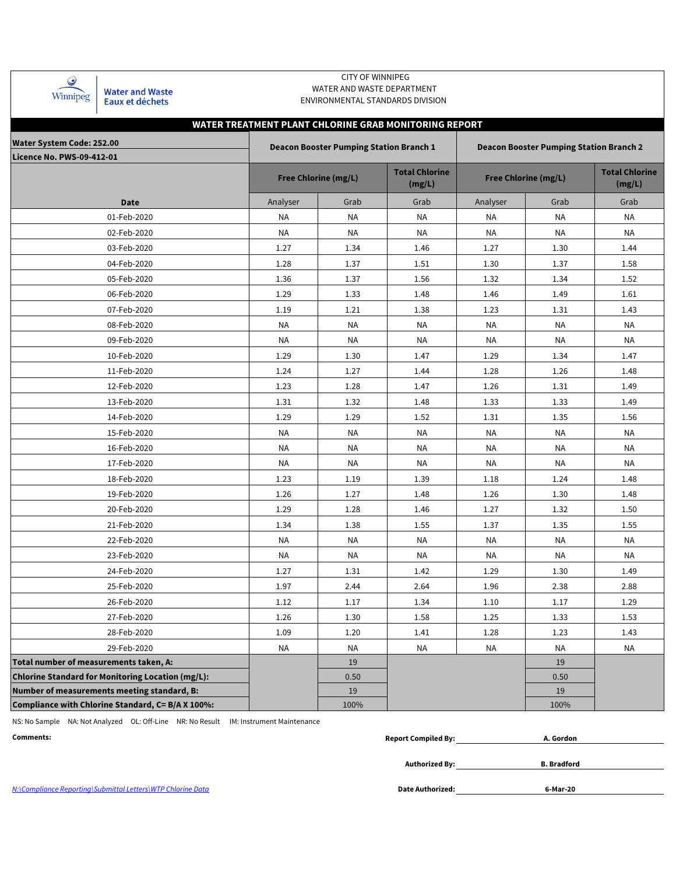| $\mathcal Q$<br><b>Water and Waste</b><br>Winnipeg<br>Eaux et déchets | <b>CITY OF WINNIPEG</b><br>WATER AND WASTE DEPARTMENT<br>ENVIRONMENTAL STANDARDS DIVISION |                                                |                                 |           |                                                |                                 |  |  |  |  |  |  |  |
|-----------------------------------------------------------------------|-------------------------------------------------------------------------------------------|------------------------------------------------|---------------------------------|-----------|------------------------------------------------|---------------------------------|--|--|--|--|--|--|--|
| WATER TREATMENT PLANT CHLORINE GRAB MONITORING REPORT                 |                                                                                           |                                                |                                 |           |                                                |                                 |  |  |  |  |  |  |  |
| <b>Water System Code: 252.00</b><br><b>Licence No. PWS-09-412-01</b>  |                                                                                           | <b>Deacon Booster Pumping Station Branch 1</b> |                                 |           | <b>Deacon Booster Pumping Station Branch 2</b> |                                 |  |  |  |  |  |  |  |
|                                                                       | <b>Free Chlorine (mg/L)</b>                                                               |                                                | <b>Total Chlorine</b><br>(mg/L) |           | <b>Free Chlorine (mg/L)</b>                    | <b>Total Chlorine</b><br>(mg/L) |  |  |  |  |  |  |  |
| <b>Date</b>                                                           | Analyser                                                                                  | Grab                                           | Grab                            | Analyser  | Grab                                           | Grab                            |  |  |  |  |  |  |  |
| 01-Feb-2020                                                           | NA                                                                                        | <b>NA</b>                                      | <b>NA</b>                       | NA        | NA                                             | ΝA                              |  |  |  |  |  |  |  |
| 02-Feb-2020                                                           | <b>NA</b>                                                                                 | <b>NA</b>                                      | ΝA                              | NA        | NA                                             | ΝA                              |  |  |  |  |  |  |  |
| 03-Feb-2020                                                           | 1.27                                                                                      | 1.34                                           | 1.46                            | 1.27      | 1.30                                           | 1.44                            |  |  |  |  |  |  |  |
| 04-Feb-2020                                                           | 1.28                                                                                      | 1.37                                           | 1.51                            | 1.30      | 1.37                                           | 1.58                            |  |  |  |  |  |  |  |
| 05-Feb-2020                                                           | 1.36                                                                                      | 1.37                                           | 1.56                            | 1.32      | 1.34                                           | 1.52                            |  |  |  |  |  |  |  |
| 06-Feb-2020                                                           | 1.29                                                                                      | 1.33                                           | 1.48                            | 1.46      | 1.49                                           | 1.61                            |  |  |  |  |  |  |  |
| 07-Feb-2020                                                           | 1.19                                                                                      | 1.21                                           | 1.38                            | 1.23      | 1.31                                           | 1.43                            |  |  |  |  |  |  |  |
| 08-Feb-2020                                                           | <b>NA</b>                                                                                 | <b>NA</b>                                      | NA                              | NA        | NA                                             | ΝA                              |  |  |  |  |  |  |  |
| 09-Feb-2020                                                           | NA                                                                                        | NA                                             | NA                              | NA        | ΝA                                             | ΝA                              |  |  |  |  |  |  |  |
| 10-Feb-2020                                                           | 1.29                                                                                      | 1.30                                           | 1.47                            | 1.29      | 1.34                                           | 1.47                            |  |  |  |  |  |  |  |
| 11-Feb-2020                                                           | 1.24                                                                                      | 1.27                                           | 1.44                            | 1.28      | 1.26                                           | 1.48                            |  |  |  |  |  |  |  |
| 12-Feb-2020                                                           | 1.23                                                                                      | 1.28                                           | 1.47                            | 1.26      | 1.31                                           | 1.49                            |  |  |  |  |  |  |  |
| 13-Feb-2020                                                           | 1.31                                                                                      | 1.32                                           | 1.48                            | 1.33      | 1.33                                           | 1.49                            |  |  |  |  |  |  |  |
| 14-Feb-2020                                                           | 1.29                                                                                      | 1.29                                           | 1.52                            | 1.31      | 1.35                                           | 1.56                            |  |  |  |  |  |  |  |
| 15-Feb-2020                                                           | NA                                                                                        | <b>NA</b>                                      | <b>NA</b>                       | ΝA        | NA                                             | ΝA                              |  |  |  |  |  |  |  |
| 16-Feb-2020                                                           | NA                                                                                        | <b>NA</b>                                      | <b>NA</b>                       | <b>NA</b> | NA                                             | <b>NA</b>                       |  |  |  |  |  |  |  |
| 17-Feb-2020                                                           | <b>NA</b>                                                                                 | <b>NA</b>                                      | <b>NA</b>                       | <b>NA</b> | <b>NA</b>                                      | <b>NA</b>                       |  |  |  |  |  |  |  |
| 18-Feb-2020                                                           | 1.23                                                                                      | 1.19                                           | 1.39                            | 1.18      | 1.24                                           | 1.48                            |  |  |  |  |  |  |  |
| 19-Feb-2020                                                           | 1.26                                                                                      | 1.27                                           | 1.48                            | 1.26      | 1.30                                           | 1.48                            |  |  |  |  |  |  |  |
| 20-Feb-2020                                                           | 1.29                                                                                      | 1.28                                           | 1.46                            | 1.27      | 1.32                                           | 1.50                            |  |  |  |  |  |  |  |
| 21-Feb-2020                                                           | 1.34                                                                                      | 1.38                                           | 1.55                            | 1.37      | 1.35                                           | 1.55                            |  |  |  |  |  |  |  |
| 22-Feb-2020                                                           | NA                                                                                        | NA                                             | NA                              | NA        | NA                                             | ΝA                              |  |  |  |  |  |  |  |
| 23-Feb-2020                                                           | NA                                                                                        | NA                                             | ΝA                              | ΝA        | NA                                             | ΝA                              |  |  |  |  |  |  |  |
| 24-Feb-2020                                                           | 1.27                                                                                      | 1.31                                           | 1.42                            | 1.29      | 1.30                                           | 1.49                            |  |  |  |  |  |  |  |
| 25-Feb-2020                                                           | 1.97                                                                                      | 2.44                                           | 2.64                            | 1.96      | 2.38                                           | 2.88                            |  |  |  |  |  |  |  |
| 26-Feb-2020                                                           | 1.12                                                                                      | 1.17                                           | 1.34                            | 1.10      | 1.17                                           | 1.29                            |  |  |  |  |  |  |  |
| 27-Feb-2020                                                           | 1.26                                                                                      | 1.30                                           | 1.58                            | 1.25      | 1.33                                           | 1.53                            |  |  |  |  |  |  |  |
| 28-Feb-2020                                                           | 1.09                                                                                      | 1.20                                           | 1.41                            | 1.28      | 1.23                                           | 1.43                            |  |  |  |  |  |  |  |
| 29-Feb-2020                                                           | <b>NA</b>                                                                                 | <b>NA</b>                                      | <b>NA</b>                       | <b>NA</b> | NA                                             | NA                              |  |  |  |  |  |  |  |
| Total number of measurements taken, A:                                |                                                                                           | 19                                             |                                 |           | 19                                             |                                 |  |  |  |  |  |  |  |
| Chlorine Standard for Monitoring Location (mg/L):                     |                                                                                           | 0.50                                           |                                 |           | 0.50                                           |                                 |  |  |  |  |  |  |  |
| Number of measurements meeting standard, B:                           |                                                                                           | 19                                             |                                 |           | 19                                             |                                 |  |  |  |  |  |  |  |
| Compliance with Chlorine Standard, C= B/A X 100%:                     |                                                                                           | 100%                                           |                                 |           | 100%                                           |                                 |  |  |  |  |  |  |  |

NS: No Sample NA: Not Analyzed OL: Off-Line NR: No Result IM: Instrument Maintenance

| Comments: | $\sim$<br>Compiled Bv:<br>Renori | . Gordon |
|-----------|----------------------------------|----------|
|           |                                  |          |

**Authorized By: B. Bradford**

N:\Compliance Reporting\Submittal Letters\WTP Chlorine Data **Date Authorized: 6-Mar-20**